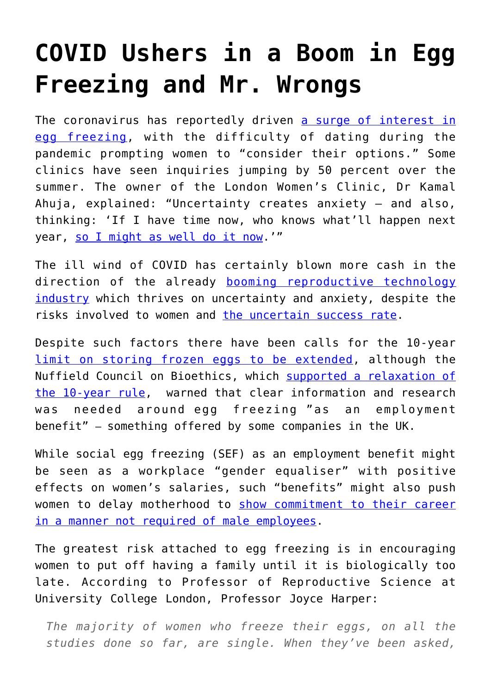## **[COVID Ushers in a Boom in Egg](https://intellectualtakeout.org/2020/10/covid-ushers-in-a-boom-in-egg-freezing-and-mr-wrongs/) [Freezing and Mr. Wrongs](https://intellectualtakeout.org/2020/10/covid-ushers-in-a-boom-in-egg-freezing-and-mr-wrongs/)**

The coronavirus has reportedly driven [a surge of interest in](https://www.thetimes.co.uk/article/women-rush-to-freeze-eggs-as-coronavirus-lockdown-dries-up-dating-wnv30mgnx) [egg freezing](https://www.thetimes.co.uk/article/women-rush-to-freeze-eggs-as-coronavirus-lockdown-dries-up-dating-wnv30mgnx), with the difficulty of dating during the pandemic prompting women to "consider their options." Some clinics have seen inquiries jumping by 50 percent over the summer. The owner of the London Women's Clinic, Dr Kamal Ahuja, explained: "Uncertainty creates anxiety — and also, thinking: 'If I have time now, who knows what'll happen next year, [so I might as well do it now.](https://www.telegraph.co.uk/news/2020/10/11/surge-interest-egg-freezing-pandemic-dating-desert-prompts-women/)'"

The ill wind of COVID has certainly blown more cash in the direction of the already [booming reproductive technology](https://www.hfea.gov.uk/media/2716/the-state-of-the-fertility-sector-2017-2018-final-accessibility-checked.pdf) [industry](https://www.hfea.gov.uk/media/2716/the-state-of-the-fertility-sector-2017-2018-final-accessibility-checked.pdf) which thrives on uncertainty and anxiety, despite the risks involved to women and [the uncertain success rate](https://www.hfea.gov.uk/media/2716/the-state-of-the-fertility-sector-2017-2018-final-accessibility-checked.pdf).

Despite such factors there have been calls for the 10-year [limit on storing frozen eggs to be extended](https://www.pressreader.com/uk/the-daily-telegraph/20201006/281732681943550), although the Nuffield Council on Bioethics, which [supported a relaxation of](https://www.telegraph.co.uk/health-fitness/body/10-year-egg-freezing-rule-isnt-fit-purpose/) [the 10-year rule](https://www.telegraph.co.uk/health-fitness/body/10-year-egg-freezing-rule-isnt-fit-purpose/),  warned that clear information and research was needed around egg freezing "as an employment benefit" – something offered by some companies in the UK.

While social egg freezing (SEF) as an employment benefit might be seen as a workplace "gender equaliser" with positive effects on women's salaries, such "benefits" might also push women to delay motherhood to [show commitment to their career](https://premierchristian.news/en/news/article/experts-warn-lack-of-transparent-data-on-egg-freezing-creates-ethical-issues?utm_source=Premier%20Christian%20Media&utm_medium=email&utm_campaign=11866447_daily%20news%2002%20October%20take%202&utm_content=2&dm_i=16DQ,72C7J,POL8O7,SIWGZ,1) [in a manner not required of male employees.](https://premierchristian.news/en/news/article/experts-warn-lack-of-transparent-data-on-egg-freezing-creates-ethical-issues?utm_source=Premier%20Christian%20Media&utm_medium=email&utm_campaign=11866447_daily%20news%2002%20October%20take%202&utm_content=2&dm_i=16DQ,72C7J,POL8O7,SIWGZ,1)

The greatest risk attached to egg freezing is in encouraging women to put off having a family until it is biologically too late. According to Professor of Reproductive Science at University College London, Professor Joyce Harper:

*The majority of women who freeze their eggs, on all the studies done so far, are single. When they've been asked,*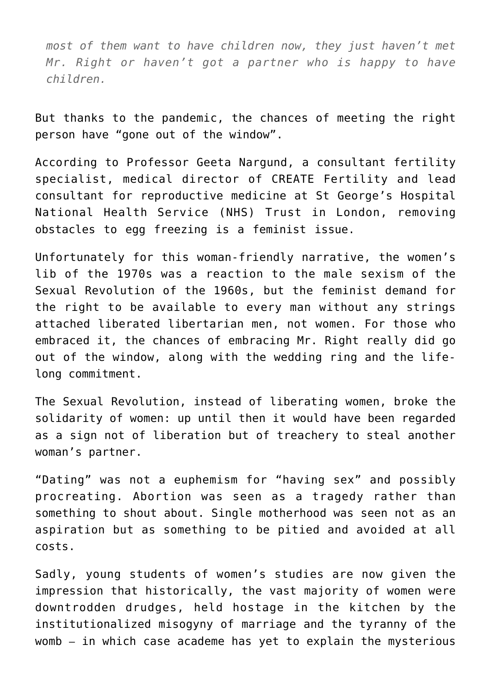*most of them want to have children now, they just haven't met Mr. Right or haven't got a partner who is happy to have children.*

But thanks to the pandemic, the chances of meeting the right person have "gone out of the window".

According to Professor Geeta Nargund, a consultant fertility specialist, medical director of CREATE Fertility and lead consultant for reproductive medicine at St George's Hospital National Health Service (NHS) Trust in London, removing obstacles to egg freezing is a feminist issue.

Unfortunately for this woman-friendly narrative, the women's lib of the 1970s was a reaction to the male sexism of the Sexual Revolution of the 1960s, but the feminist demand for the right to be available to every man without any strings attached liberated libertarian men, not women. For those who embraced it, the chances of embracing Mr. Right really did go out of the window, along with the wedding ring and the lifelong commitment.

The Sexual Revolution, instead of liberating women, broke the solidarity of women: up until then it would have been regarded as a sign not of liberation but of treachery to steal another woman's partner.

"Dating" was not a euphemism for "having sex" and possibly procreating. Abortion was seen as a tragedy rather than something to shout about. Single motherhood was seen not as an aspiration but as something to be pitied and avoided at all costs.

Sadly, young students of women's studies are now given the impression that historically, the vast majority of women were downtrodden drudges, held hostage in the kitchen by the institutionalized misogyny of marriage and the tyranny of the womb – in which case academe has yet to explain the mysterious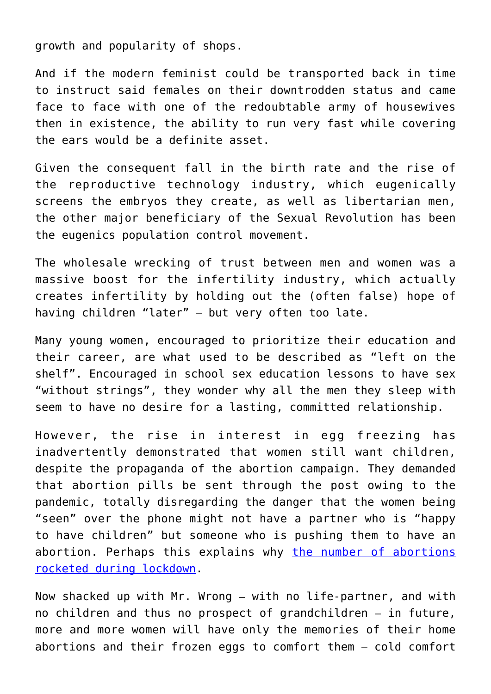growth and popularity of shops.

And if the modern feminist could be transported back in time to instruct said females on their downtrodden status and came face to face with one of the redoubtable army of housewives then in existence, the ability to run very fast while covering the ears would be a definite asset.

Given the consequent fall in the birth rate and the rise of the reproductive technology industry, which eugenically screens the embryos they create, as well as libertarian men, the other major beneficiary of the Sexual Revolution has been the eugenics population control movement.

The wholesale wrecking of trust between men and women was a massive boost for the infertility industry, which actually creates infertility by holding out the (often false) hope of having children "later" – but very often too late.

Many young women, encouraged to prioritize their education and their career, are what used to be described as "left on the shelf". Encouraged in school sex education lessons to have sex "without strings", they wonder why all the men they sleep with seem to have no desire for a lasting, committed relationship.

However, the rise in interest in egg freezing has inadvertently demonstrated that women still want children, despite the propaganda of the abortion campaign. They demanded that abortion pills be sent through the post owing to the pandemic, totally disregarding the danger that the women being "seen" over the phone might not have a partner who is "happy to have children" but someone who is pushing them to have an abortion. Perhaps this explains why [the number of abortions](https://www.telegraph.co.uk/news/2020/09/10/sharp-increase-abortions-lockdown-figures-show/) [rocketed during lockdown.](https://www.telegraph.co.uk/news/2020/09/10/sharp-increase-abortions-lockdown-figures-show/)

Now shacked up with Mr. Wrong – with no life-partner, and with no children and thus no prospect of grandchildren – in future, more and more women will have only the memories of their home abortions and their frozen eggs to comfort them – cold comfort